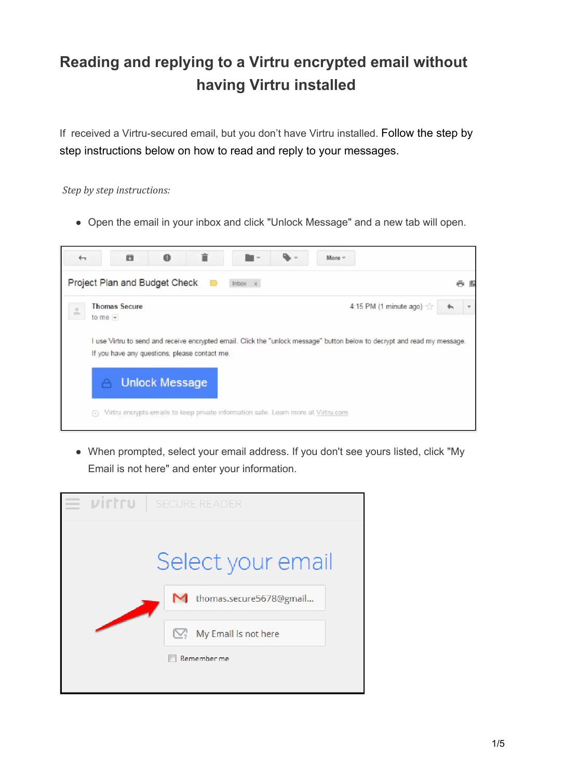# **Reading and replying to a Virtru encrypted email without having Virtru installed**

If received a Virtru-secured email, but you don't have Virtru installed. Follow the step by step instructions below on how to read and reply to your messages.

*Step by step instructions:*

Open the email in your inbox and click "Unlock Message" and a new tab will open.



When prompted, select your email address. If you don't see yours listed, click "My Email is not here" and enter your information.

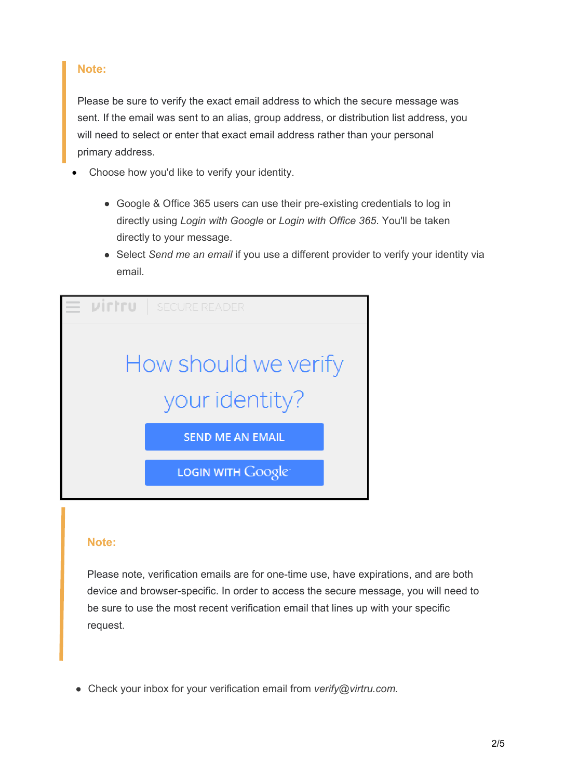### **Note:**

Please be sure to verify the exact email address to which the secure message was sent. If the email was sent to an alias, group address, or distribution list address, you will need to select or enter that exact email address rather than your personal primary address.

- Choose how you'd like to verify your identity.
	- Google & Office 365 users can use their pre-existing credentials to log in directly using *Login with Google* or *Login with Office 365*. You'll be taken directly to your message.
	- Select *Send me an email* if you use a different provider to verify your identity via email.



#### **Note:**

Please note, verification emails are for one-time use, have expirations, and are both device and browser-specific. In order to access the secure message, you will need to be sure to use the most recent verification email that lines up with your specific request.

Check your inbox for your verification email from *verify@[virtru.com.](mailto:verify@virtru.com)*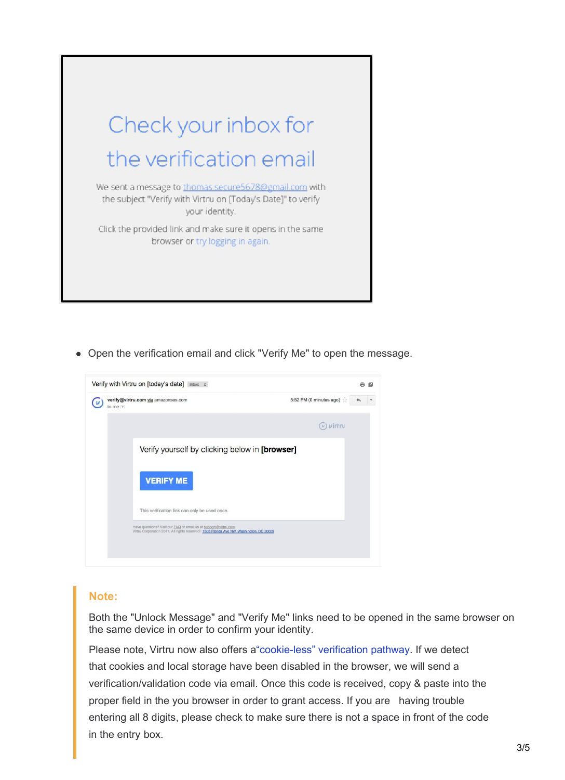

Open the verification email and click "Verify Me" to open the message.



## **Note:**

Both the "Unlock Message" and "Verify Me" links need to be opened in the same browser on the same device in order to confirm your identity.

Please note, Virtru now also offers [a"cookie-less" verification pathway.](https://support.virtru.com/hc/en-us/articles/115015387408-Receiving-using-a-Validation-Code) If we detect that cookies and local storage have been disabled in the browser, we will send a verification/validation code via email. Once this code is received, copy & paste into the proper field in the you browser in order to grant access. If you are having trouble entering all 8 digits, please check to make sure there is not a space in front of the code in the entry box.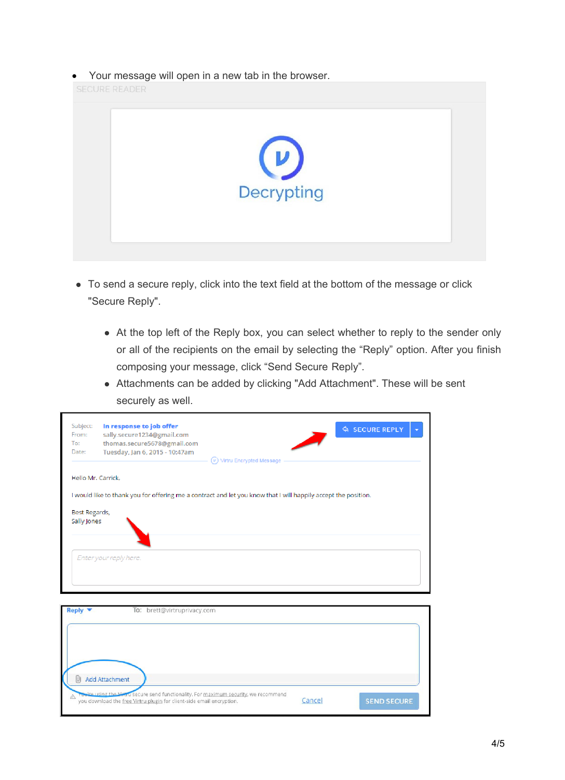Your message will open in a new tab in the browser.



- To send a secure reply, click into the text field at the bottom of the message or click "Secure Reply".
	- At the top left of the Reply box, you can select whether to reply to the sender only or all of the recipients on the email by selecting the "Reply" option. After you finish composing your message, click "Send Secure Reply".
	- Attachments can be added by clicking "Add Attachment". These will be sent securely as well.

| Subject:<br>From:<br>To:<br>Date:                                                                              | In response to job offer<br>sally.secure1234@gmail.com<br>thomas.secure5678@gmail.com<br>Tuesday, Jan 6, 2015 - 10:47am                    | $(v)$ Virtru Encrypted Message | <b>A SECURE REPLY</b><br>$\overline{\mathbf{v}}$ |
|----------------------------------------------------------------------------------------------------------------|--------------------------------------------------------------------------------------------------------------------------------------------|--------------------------------|--------------------------------------------------|
| Hello Mr. Carrick.                                                                                             |                                                                                                                                            |                                |                                                  |
| I would like to thank you for offering me a contract and let you know that I will happily accept the position. |                                                                                                                                            |                                |                                                  |
| Best Regards,<br>Sally Jones                                                                                   |                                                                                                                                            |                                |                                                  |
|                                                                                                                | Enter your reply here.                                                                                                                     |                                |                                                  |
| To: brett@virtruprivacy.com<br>Reply $\blacktriangledown$                                                      |                                                                                                                                            |                                |                                                  |
| ΙUΙ                                                                                                            | Add Attachment                                                                                                                             |                                |                                                  |
| $\wedge$                                                                                                       | and secure send functionality. For maximum security, we recommend<br>you download the free Virtru plugin for client-side email encryption. | Cancel                         | <b>SEND SECURE</b>                               |